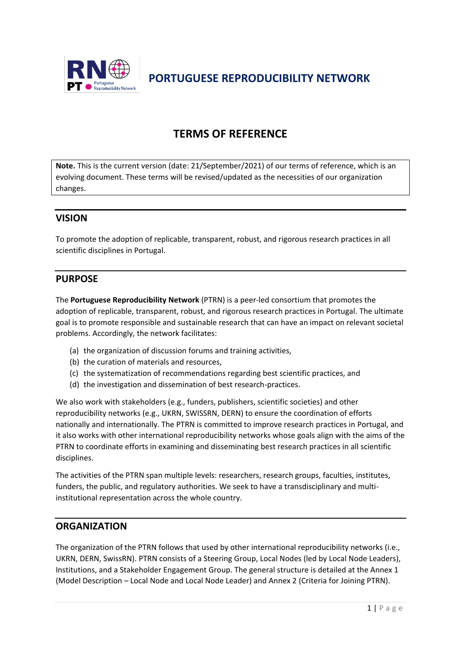

**PORTUGUESE REPRODUCIBILITY NETWORK** 

# **TERMS OF REFERENCE**

**Note.** This is the current version (date: 21/September/2021) of our terms of reference, which is an evolving document. These terms will be revised/updated as the necessities of our organization changes.

## **VISION**

To promote the adoption of replicable, transparent, robust, and rigorous research practices in all scientific disciplines in Portugal.

# **PURPOSE**

The **Portuguese Reproducibility Network** (PTRN) is a peer-led consortium that promotes the adoption of replicable, transparent, robust, and rigorous research practices in Portugal. The ultimate goal is to promote responsible and sustainable research that can have an impact on relevant societal problems. Accordingly, the network facilitates:

- (a) the organization of discussion forums and training activities,
- (b) the curation of materials and resources,
- (c) the systematization of recommendations regarding best scientific practices, and
- (d) the investigation and dissemination of best research-practices.

We also work with stakeholders (e.g., funders, publishers, scientific societies) and other reproducibility networks (e.g., UKRN, SWISSRN, DERN) to ensure the coordination of efforts nationally and internationally. The PTRN is committed to improve research practices in Portugal, and it also works with other international reproducibility networks whose goals align with the aims of the PTRN to coordinate efforts in examining and disseminating best research practices in all scientific disciplines.

The activities of the PTRN span multiple levels: researchers, research groups, faculties, institutes, funders, the public, and regulatory authorities. We seek to have a transdisciplinary and multiinstitutional representation across the whole country.

## **ORGANIZATION**

The organization of the PTRN follows that used by other international reproducibility networks (i.e., UKRN, DERN, SwissRN). PTRN consists of a Steering Group, Local Nodes (led by Local Node Leaders), Institutions, and a Stakeholder Engagement Group. The general structure is detailed at the Annex 1 (Model Description – Local Node and Local Node Leader) and Annex 2 (Criteria for Joining PTRN).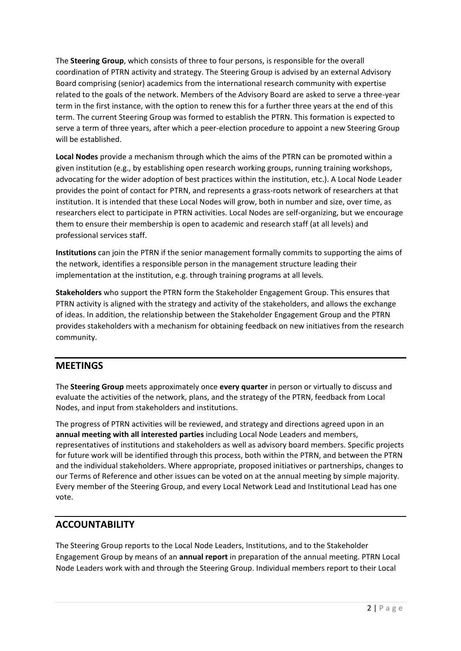The **Steering Group**, which consists of three to four persons, is responsible for the overall coordination of PTRN activity and strategy. The Steering Group is advised by an external Advisory Board comprising (senior) academics from the international research community with expertise related to the goals of the network. Members of the Advisory Board are asked to serve a three-year term in the first instance, with the option to renew this for a further three years at the end of this term. The current Steering Group was formed to establish the PTRN. This formation is expected to serve a term of three years, after which a peer-election procedure to appoint a new Steering Group will be established.

**Local Nodes** provide a mechanism through which the aims of the PTRN can be promoted within a given institution (e.g., by establishing open research working groups, running training workshops, advocating for the wider adoption of best practices within the institution, etc.). A Local Node Leader provides the point of contact for PTRN, and represents a grass-roots network of researchers at that institution. It is intended that these Local Nodes will grow, both in number and size, over time, as researchers elect to participate in PTRN activities. Local Nodes are self-organizing, but we encourage them to ensure their membership is open to academic and research staff (at all levels) and professional services staff.

**Institutions** can join the PTRN if the senior management formally commits to supporting the aims of the network, identifies a responsible person in the management structure leading their implementation at the institution, e.g. through training programs at all levels.

**Stakeholders** who support the PTRN form the Stakeholder Engagement Group. This ensures that PTRN activity is aligned with the strategy and activity of the stakeholders, and allows the exchange of ideas. In addition, the relationship between the Stakeholder Engagement Group and the PTRN provides stakeholders with a mechanism for obtaining feedback on new initiatives from the research community.

## **MEETINGS**

The **Steering Group** meets approximately once **every quarter** in person or virtually to discuss and evaluate the activities of the network, plans, and the strategy of the PTRN, feedback from Local Nodes, and input from stakeholders and institutions.

The progress of PTRN activities will be reviewed, and strategy and directions agreed upon in an **annual meeting with all interested parties** including Local Node Leaders and members, representatives of institutions and stakeholders as well as advisory board members. Specific projects for future work will be identified through this process, both within the PTRN, and between the PTRN and the individual stakeholders. Where appropriate, proposed initiatives or partnerships, changes to our Terms of Reference and other issues can be voted on at the annual meeting by simple majority. Every member of the Steering Group, and every Local Network Lead and Institutional Lead has one vote.

## **ACCOUNTABILITY**

The Steering Group reports to the Local Node Leaders, Institutions, and to the Stakeholder Engagement Group by means of an **annual report** in preparation of the annual meeting. PTRN Local Node Leaders work with and through the Steering Group. Individual members report to their Local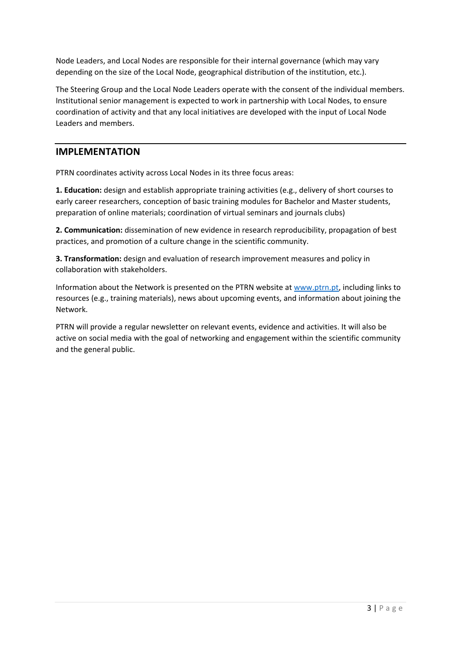Node Leaders, and Local Nodes are responsible for their internal governance (which may vary depending on the size of the Local Node, geographical distribution of the institution, etc.).

The Steering Group and the Local Node Leaders operate with the consent of the individual members. Institutional senior management is expected to work in partnership with Local Nodes, to ensure coordination of activity and that any local initiatives are developed with the input of Local Node Leaders and members.

## **IMPLEMENTATION**

PTRN coordinates activity across Local Nodes in its three focus areas:

**1. Education:** design and establish appropriate training activities (e.g., delivery of short courses to early career researchers, conception of basic training modules for Bachelor and Master students, preparation of online materials; coordination of virtual seminars and journals clubs)

**2. Communication:** dissemination of new evidence in research reproducibility, propagation of best practices, and promotion of a culture change in the scientific community.

**3. Transformation:** design and evaluation of research improvement measures and policy in collaboration with stakeholders.

Information about the Network is presented on the PTRN website at [www.ptrn.pt,](http://www.ptrn.pt/) including links to resources (e.g., training materials), news about upcoming events, and information about joining the Network.

PTRN will provide a regular newsletter on relevant events, evidence and activities. It will also be active on social media with the goal of networking and engagement within the scientific community and the general public.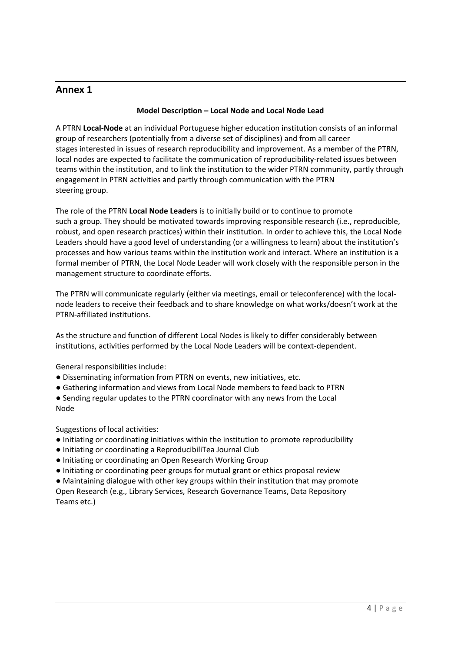## **Annex 1**

#### **Model Description – Local Node and Local Node Lead**

A PTRN **Local-Node** at an individual Portuguese higher education institution consists of an informal group of researchers (potentially from a diverse set of disciplines) and from all career stages interested in issues of research reproducibility and improvement. As a member of the PTRN, local nodes are expected to facilitate the communication of reproducibility-related issues between teams within the institution, and to link the institution to the wider PTRN community, partly through engagement in PTRN activities and partly through communication with the PTRN steering group.

The role of the PTRN **Local Node Leaders** is to initially build or to continue to promote such a group. They should be motivated towards improving responsible research (i.e., reproducible, robust, and open research practices) within their institution. In order to achieve this, the Local Node Leaders should have a good level of understanding (or a willingness to learn) about the institution's processes and how various teams within the institution work and interact. Where an institution is a formal member of PTRN, the Local Node Leader will work closely with the responsible person in the management structure to coordinate efforts.

The PTRN will communicate regularly (either via meetings, email or teleconference) with the localnode leaders to receive their feedback and to share knowledge on what works/doesn't work at the PTRN-affiliated institutions.

As the structure and function of different Local Nodes is likely to differ considerably between institutions, activities performed by the Local Node Leaders will be context-dependent.

General responsibilities include:

- Disseminating information from PTRN on events, new initiatives, etc.
- Gathering information and views from Local Node members to feed back to PTRN

● Sending regular updates to the PTRN coordinator with any news from the Local Node

Suggestions of local activities:

- Initiating or coordinating initiatives within the institution to promote reproducibility
- Initiating or coordinating a ReproducibiliTea Journal Club
- Initiating or coordinating an Open Research Working Group
- Initiating or coordinating peer groups for mutual grant or ethics proposal review

● Maintaining dialogue with other key groups within their institution that may promote

Open Research (e.g., Library Services, Research Governance Teams, Data Repository Teams etc.)